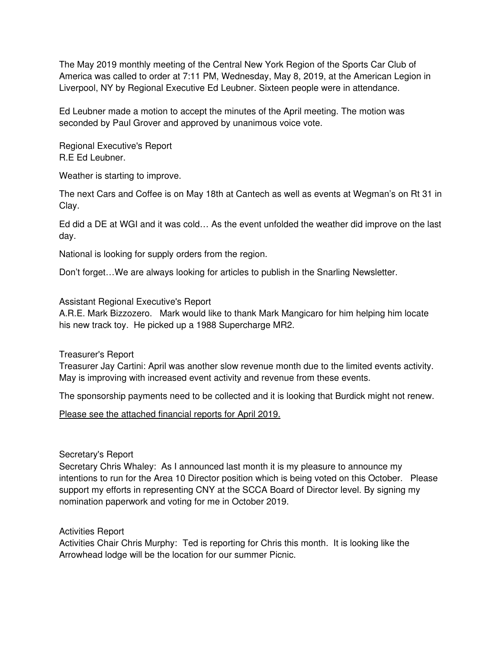The May 2019 monthly meeting of the Central New York Region of the Sports Car Club of America was called to order at 7:11 PM, Wednesday, May 8, 2019, at the American Legion in Liverpool, NY by Regional Executive Ed Leubner. Sixteen people were in attendance.

Ed Leubner made a motion to accept the minutes of the April meeting. The motion was seconded by Paul Grover and approved by unanimous voice vote.

Regional Executive's Report R.E Ed Leubner.

Weather is starting to improve.

The next Cars and Coffee is on May 18th at Cantech as well as events at Wegman's on Rt 31 in Clay.

Ed did a DE at WGI and it was cold… As the event unfolded the weather did improve on the last day.

National is looking for supply orders from the region.

Don't forget…We are always looking for articles to publish in the Snarling Newsletter.

Assistant Regional Executive's Report

A.R.E. Mark Bizzozero. Mark would like to thank Mark Mangicaro for him helping him locate his new track toy. He picked up a 1988 Supercharge MR2.

Treasurer's Report

Treasurer Jay Cartini: April was another slow revenue month due to the limited events activity. May is improving with increased event activity and revenue from these events.

The sponsorship payments need to be collected and it is looking that Burdick might not renew.

Please see the attached financial reports for April 2019.

## Secretary's Report

Secretary Chris Whaley: As I announced last month it is my pleasure to announce my intentions to run for the Area 10 Director position which is being voted on this October. Please support my efforts in representing CNY at the SCCA Board of Director level. By signing my nomination paperwork and voting for me in October 2019.

Activities Report

Activities Chair Chris Murphy: Ted is reporting for Chris this month. It is looking like the Arrowhead lodge will be the location for our summer Picnic.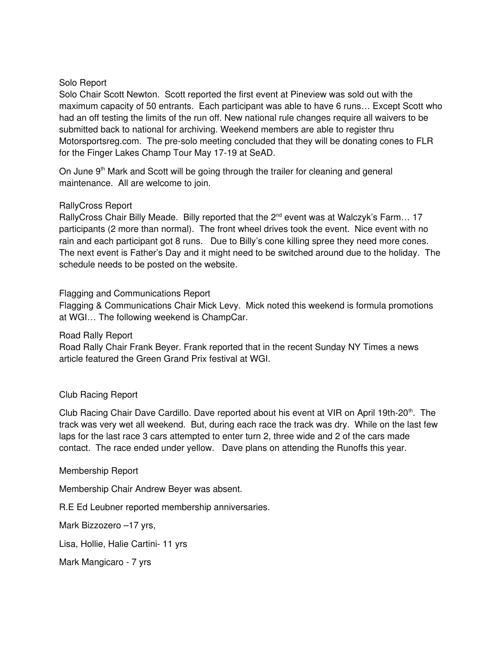# Solo Report

Solo Chair Scott Newton. Scott reported the first event at Pineview was sold out with the maximum capacity of 50 entrants. Each participant was able to have 6 runs… Except Scott who had an off testing the limits of the run off. New national rule changes require all waivers to be submitted back to national for archiving. Weekend members are able to register thru Motorsportsreg.com. The pre-solo meeting concluded that they will be donating cones to FLR for the Finger Lakes Champ Tour May 17-19 at SeAD.

On June 9<sup>th</sup> Mark and Scott will be going through the trailer for cleaning and general maintenance. All are welcome to join.

### RallyCross Report

RallyCross Chair Billy Meade. Billy reported that the 2<sup>nd</sup> event was at Walczyk's Farm... 17 participants (2 more than normal). The front wheel drives took the event. Nice event with no rain and each participant got 8 runs. Due to Billy's cone killing spree they need more cones. The next event is Father's Day and it might need to be switched around due to the holiday. The schedule needs to be posted on the website.

Flagging and Communications Report

Flagging & Communications Chair Mick Levy. Mick noted this weekend is formula promotions at WGI… The following weekend is ChampCar.

Road Rally Report

Road Rally Chair Frank Beyer. Frank reported that in the recent Sunday NY Times a news article featured the Green Grand Prix festival at WGI.

## Club Racing Report

Club Racing Chair Dave Cardillo. Dave reported about his event at VIR on April 19th-20<sup>th</sup>. The track was very wet all weekend. But, during each race the track was dry. While on the last few laps for the last race 3 cars attempted to enter turn 2, three wide and 2 of the cars made contact. The race ended under yellow. Dave plans on attending the Runoffs this year.

#### Membership Report

Membership Chair Andrew Beyer was absent.

R.E Ed Leubner reported membership anniversaries.

Mark Bizzozero –17 yrs,

Lisa, Hollie, Halie Cartini- 11 yrs

Mark Mangicaro - 7 yrs